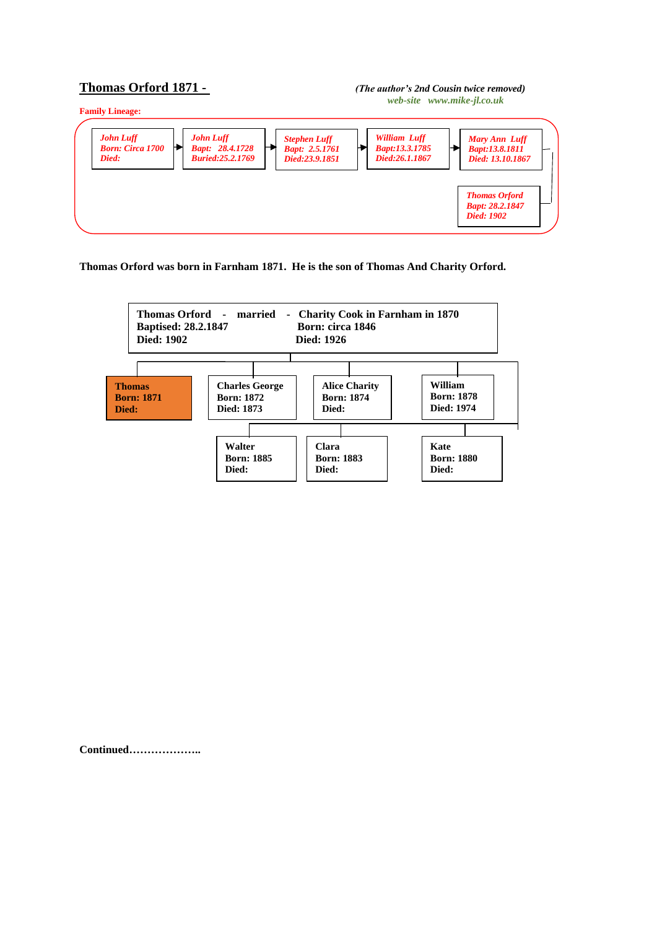## **Thomas Orford 1871 -** *(The author's 2nd Cousin twice removed)**web-site www.mike-jl.co.uk*



**Thomas Orford was born in Farnham 1871. He is the son of Thomas And Charity Orford.**



**Continued………………..**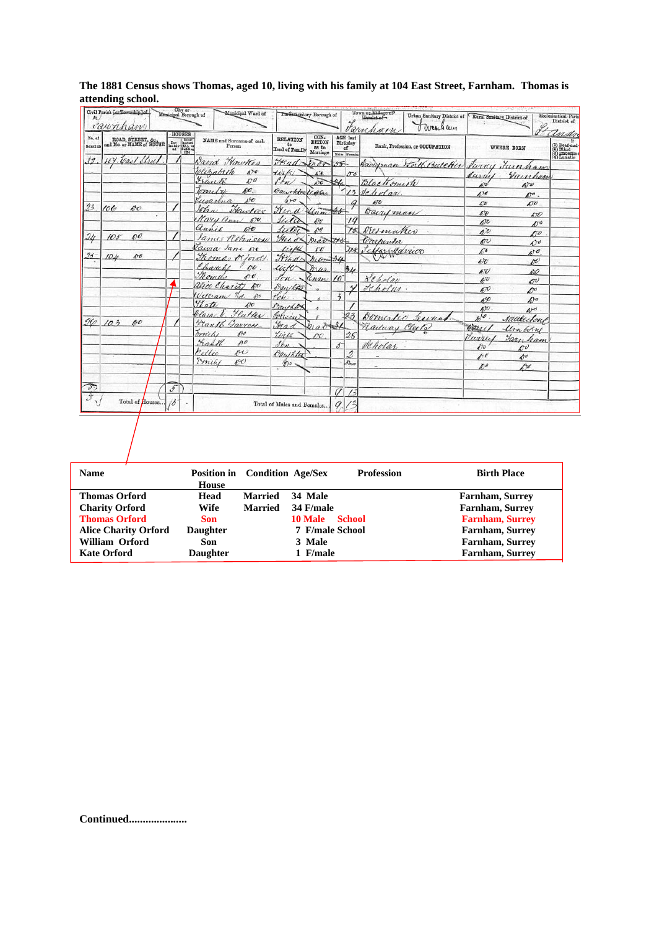|                    | Civil Parish [or Township] of<br>raunham       |                          | City or<br>Municipal Borough of                                                                                                                                                                                                                                                                                                                                                                                                                                                                     | Municipal Ward of                     | Parliamentary Borough of                |                                            |               |                                                   | Town or Village op<br>Hamlet of<br>Urban Sanitary District of<br>Farnham<br>O areach am |                                    | Rural Sunitary District of   | Ecclesiastical Paris<br>District of                                |
|--------------------|------------------------------------------------|--------------------------|-----------------------------------------------------------------------------------------------------------------------------------------------------------------------------------------------------------------------------------------------------------------------------------------------------------------------------------------------------------------------------------------------------------------------------------------------------------------------------------------------------|---------------------------------------|-----------------------------------------|--------------------------------------------|---------------|---------------------------------------------------|-----------------------------------------------------------------------------------------|------------------------------------|------------------------------|--------------------------------------------------------------------|
| No, of<br>Schodula | ROAD, STREET, &c.,<br>and No. or NAME of HOUSE |                          | HOUSES<br>$\begin{tabular}{l c c} \multicolumn{1}{c}{\textbf{Time}} & \multicolumn{1}{c}{\textbf{Unim}}\\ \multicolumn{1}{c}{\textbf{In}} & \multicolumn{1}{c}{\textbf{In}} \\ \multicolumn{1}{c}{\textbf{In}} & \multicolumn{1}{c}{\textbf{In}} \\ \multicolumn{1}{c}{\textbf{In}} & \multicolumn{1}{c}{\textbf{In}} \\ \multicolumn{1}{c}{\textbf{In}} & \multicolumn{1}{c}{\textbf{In}} \\ \multicolumn{1}{c}{\textbf{In}} & \multicolumn{1}{c}{\textbf{In}} \\ \multicolumn{1}{c}{\textbf{In}}$ | NAME and Surnamo of cach<br>Person    | <b>RELATION</b><br>to<br>Head of Family | CON-<br><b>DITION</b><br>as to<br>Marriage |               | <b>AGE</b> last<br>Birthday<br>of<br>Males Founds | Rank, Profession, or OCCUPATION                                                         |                                    | WHERE BORN                   | andre<br>(1) Deaf-aud-<br>(2) Blind<br>(3) Imbedies<br>(4) Lunatic |
| 12                 | 104. Carl Shul                                 |                          |                                                                                                                                                                                                                                                                                                                                                                                                                                                                                                     | Wayd Hawkes                           | H <sub>4</sub>                          | Inar                                       | $35 -$        |                                                   | Davidman Worth Butcher Swing Fainham                                                    |                                    |                              |                                                                    |
|                    |                                                |                          |                                                                                                                                                                                                                                                                                                                                                                                                                                                                                                     | Websaleth<br>470                      | <b>Lizk</b>                             | $\Delta t$ .                               |               | 53                                                |                                                                                         | Juniel.                            |                              |                                                                    |
|                    |                                                |                          |                                                                                                                                                                                                                                                                                                                                                                                                                                                                                                     | Frank<br>600                          | Ph <sub>n</sub>                         | wo                                         |               |                                                   | Blacksmith                                                                              | $\epsilon$                         | Vainham<br>$\Delta v$        |                                                                    |
|                    |                                                |                          |                                                                                                                                                                                                                                                                                                                                                                                                                                                                                                     | AC<br>tometre                         | Baughter Upon                           |                                            |               | 13                                                | Jeholar.                                                                                | 4)0                                | $D^o$ .                      |                                                                    |
|                    |                                                |                          |                                                                                                                                                                                                                                                                                                                                                                                                                                                                                                     | 150<br>Jugartna                       | $4 - 0$                                 |                                            |               |                                                   | $A^T$                                                                                   | $\varpi$                           | 50                           |                                                                    |
| 23                 | 100<br>$60^{\circ}$                            |                          |                                                                                                                                                                                                                                                                                                                                                                                                                                                                                                     | Hawlie<br>John                        | Frend                                   | $\mathcal{U}_{n,m}$                        | $45 -$        |                                                   | Barryman                                                                                | 47                                 |                              |                                                                    |
|                    |                                                |                          |                                                                                                                                                                                                                                                                                                                                                                                                                                                                                                     | Nary ann 190                          | lieta                                   | $470^{\circ}$                              |               | $\cdot$ 19                                        |                                                                                         | $\sqrt{c}$                         | $\mathcal{L}$<br>250         |                                                                    |
|                    |                                                |                          |                                                                                                                                                                                                                                                                                                                                                                                                                                                                                                     | annie<br>$\mathcal{L}^{\dagger}$      | futer                                   | 10                                         |               | 75                                                | DEsmaker                                                                                | $\Lambda^{\gamma}$                 |                              |                                                                    |
| $\frac{2}{\ell}$   | $105 -$<br>00                                  |                          |                                                                                                                                                                                                                                                                                                                                                                                                                                                                                                     | James Robinson                        | Head.                                   | mar trs                                    |               |                                                   | Consporter                                                                              | $\mathscr{U}$                      | $\Lambda$<br>$\Delta$        |                                                                    |
|                    |                                                |                          |                                                                                                                                                                                                                                                                                                                                                                                                                                                                                                     | Tawa Jane Ne                          | like                                    | FU                                         |               | <b>ZXS</b>                                        |                                                                                         | ΓC                                 | $\mathcal{A}^{\dagger}$      |                                                                    |
| $23 -$             | po<br>104                                      |                          |                                                                                                                                                                                                                                                                                                                                                                                                                                                                                                     | Thomas or ford                        | France                                  | mar 34                                     |               |                                                   | Jeffar Lavico                                                                           | $\iota \bar{v}$                    | o                            |                                                                    |
|                    |                                                |                          |                                                                                                                                                                                                                                                                                                                                                                                                                                                                                                     | Charles<br>no                         | uin                                     | mar                                        |               | 34                                                |                                                                                         | 670                                | AXO                          |                                                                    |
|                    |                                                |                          |                                                                                                                                                                                                                                                                                                                                                                                                                                                                                                     | Romes<br>490                          | $f_{\mathcal{L}}$                       | Henry                                      | $10^{-}$      |                                                   | Leholay                                                                                 | $40^{\circ}$                       | <b>DU</b>                    |                                                                    |
|                    |                                                |                          |                                                                                                                                                                                                                                                                                                                                                                                                                                                                                                     | alice Charity ho                      | Daystota                                |                                            |               |                                                   | Jeholui.                                                                                | $\mathscr{E}^\mathcal{O}$          | $\mathcal{D}^{\prime\prime}$ |                                                                    |
|                    |                                                |                          |                                                                                                                                                                                                                                                                                                                                                                                                                                                                                                     | $3d. - 50$<br>William                 | T'en                                    |                                            | $\ddot{3}$    |                                                   |                                                                                         | 600                                | A                            |                                                                    |
|                    |                                                |                          |                                                                                                                                                                                                                                                                                                                                                                                                                                                                                                     | Ylate<br>$\mathcal{D}^{\prime\prime}$ | Dauchton                                |                                            |               |                                                   |                                                                                         | $h$ <sub><math>\alpha</math></sub> | $40^{\circ}$                 |                                                                    |
|                    |                                                |                          |                                                                                                                                                                                                                                                                                                                                                                                                                                                                                                     | <u>Hatter</u><br>ela in               | Colisin                                 |                                            |               | 23                                                | Domested<br>Tecca                                                                       | 6/0                                | Addleston                    |                                                                    |
| 26                 | 103<br>00                                      |                          |                                                                                                                                                                                                                                                                                                                                                                                                                                                                                                     | Man16 Garrer                          | Had                                     | $b_1a_0b_0=21$                             |               |                                                   | Railway Clerto                                                                          | horse.                             |                              |                                                                    |
|                    |                                                |                          |                                                                                                                                                                                                                                                                                                                                                                                                                                                                                                     | mily<br>490                           | Yirk                                    | po                                         |               | 26                                                |                                                                                         | Twiny                              | lim berry                    |                                                                    |
|                    |                                                |                          |                                                                                                                                                                                                                                                                                                                                                                                                                                                                                                     | Falk<br>$10^{10}$                     | $J_{\ell\ell\ell}$                      |                                            | $\mathcal{L}$ |                                                   | Scholar.                                                                                | $\partial$                         | Farn ham<br>mΰ               |                                                                    |
|                    |                                                |                          |                                                                                                                                                                                                                                                                                                                                                                                                                                                                                                     | Pellie<br>$\sim$                      | Quitates                                |                                            |               | 2                                                 |                                                                                         | $\overline{A}$                     | $A^{\sigma}$                 |                                                                    |
|                    |                                                |                          |                                                                                                                                                                                                                                                                                                                                                                                                                                                                                                     | Emily<br>600                          | $200 -$                                 |                                            |               | $5h\sigma$                                        |                                                                                         | $D^{\circ}$                        | D <del>o</del>               |                                                                    |
|                    |                                                |                          |                                                                                                                                                                                                                                                                                                                                                                                                                                                                                                     |                                       |                                         |                                            |               |                                                   |                                                                                         |                                    |                              |                                                                    |
| $\mathcal{D}$      |                                                | $\overline{\mathcal{L}}$ |                                                                                                                                                                                                                                                                                                                                                                                                                                                                                                     |                                       |                                         |                                            |               |                                                   |                                                                                         |                                    |                              |                                                                    |
| $\mathcal{F}$      |                                                |                          |                                                                                                                                                                                                                                                                                                                                                                                                                                                                                                     |                                       |                                         |                                            | $\theta$      | 15                                                |                                                                                         |                                    |                              |                                                                    |
|                    | Total of Houses                                | 13                       |                                                                                                                                                                                                                                                                                                                                                                                                                                                                                                     |                                       | Total of Males and Females              |                                            | a             |                                                   |                                                                                         |                                    |                              |                                                                    |

## **The 1881 Census shows Thomas, aged 10, living with his family at 104 East Street, Farnham. Thomas is attending school.**

| <b>Name</b>                 |                 | Position in Condition Age/Sex |                 | <b>Profession</b> | <b>Birth Place</b>     |
|-----------------------------|-----------------|-------------------------------|-----------------|-------------------|------------------------|
|                             | <b>House</b>    |                               |                 |                   |                        |
| <b>Thomas Orford</b>        | Head            | <b>Married</b>                | 34 Male         |                   | <b>Farnham, Surrey</b> |
| <b>Charity Orford</b>       | Wife            | <b>Married</b>                | 34 F/male       |                   | <b>Farnham, Surrey</b> |
| <b>Thomas Orford</b>        | <b>Son</b>      |                               | <b>10 Male</b>  | <b>School</b>     | <b>Farnham, Surrey</b> |
| <b>Alice Charity Orford</b> | <b>Daughter</b> |                               | 7 F/male School |                   | Farnham, Surrey        |
| William Orford              | Son             |                               | 3 Male          |                   | <b>Farnham, Surrey</b> |
| <b>Kate Orford</b>          | <b>Daughter</b> |                               | 1 F/male        |                   | <b>Farnham, Surrey</b> |

**Continued.....................**